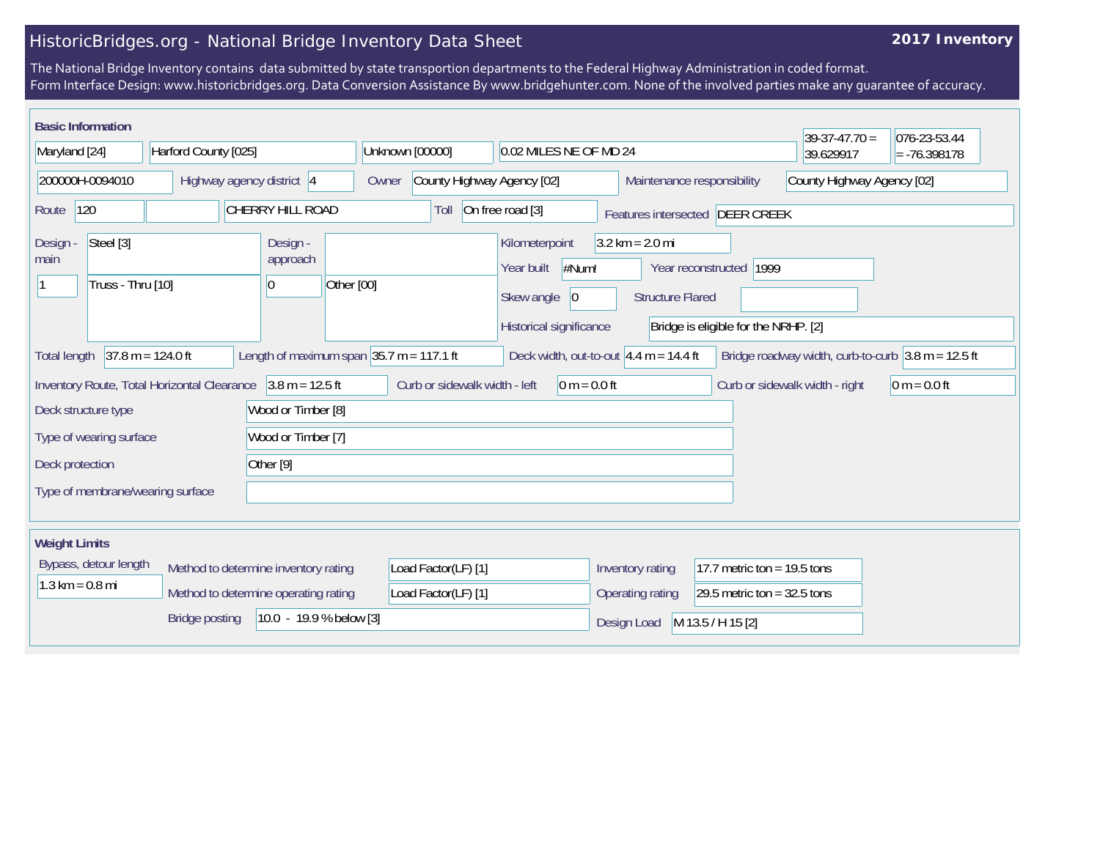## HistoricBridges.org - National Bridge Inventory Data Sheet

## **2017 Inventory**

The National Bridge Inventory contains data submitted by state transportion departments to the Federal Highway Administration in coded format. Form Interface Design: www.historicbridges.org. Data Conversion Assistance By www.bridgehunter.com. None of the involved parties make any guarantee of accuracy.

| <b>Basic Information</b>                                                  |                     |                                             |                                                             |                     |                                     |                                            |                                                   |                                                              |                                          |                                      | $39-37-47.70 =$                                                      | 076-23-53.44   |
|---------------------------------------------------------------------------|---------------------|---------------------------------------------|-------------------------------------------------------------|---------------------|-------------------------------------|--------------------------------------------|---------------------------------------------------|--------------------------------------------------------------|------------------------------------------|--------------------------------------|----------------------------------------------------------------------|----------------|
| Maryland [24]                                                             |                     | Harford County [025]                        |                                                             |                     | Unknown [00000]                     |                                            | 0.02 MILES NE OF MD 24                            |                                                              |                                          | 39.629917                            | $= -76.398178$                                                       |                |
| 200000H-0094010                                                           |                     | Highway agency district 4                   |                                                             |                     | County Highway Agency [02]<br>Owner |                                            |                                                   |                                                              | Maintenance responsibility               | County Highway Agency [02]           |                                                                      |                |
| $\vert 120 \vert$<br>CHERRY HILL ROAD<br>Route                            |                     |                                             | On free road [3]<br>Toll<br>Features intersected DEER CREEK |                     |                                     |                                            |                                                   |                                                              |                                          |                                      |                                                                      |                |
| Steel [3]<br>Design -<br>main<br>Truss - Thru [10]                        |                     | Design -<br>approach<br>10                  | Other [00]                                                  |                     |                                     | Kilometerpoint<br>Year built<br>Skew angle | #Num!<br>$ 0\rangle$                              | $3.2 \text{ km} = 2.0 \text{ mi}$<br><b>Structure Flared</b> | Year reconstructed 1999                  |                                      |                                                                      |                |
|                                                                           |                     |                                             |                                                             |                     |                                     |                                            | Historical significance                           |                                                              |                                          | Bridge is eligible for the NRHP. [2] |                                                                      |                |
| <b>Total length</b>                                                       | $37.8 m = 124.0 ft$ |                                             | Length of maximum span $ 35.7 \text{ m} = 117.1 \text{ ft}$ |                     |                                     |                                            |                                                   |                                                              | Deck width, out-to-out $4.4 m = 14.4 ft$ |                                      | Bridge roadway width, curb-to-curb $3.8 \text{ m} = 12.5 \text{ ft}$ |                |
|                                                                           |                     | Inventory Route, Total Horizontal Clearance | $3.8 m = 12.5 ft$                                           |                     |                                     | Curb or sidewalk width - left              |                                                   | $0 m = 0.0 ft$                                               |                                          |                                      | Curb or sidewalk width - right                                       | $0 m = 0.0 ft$ |
| Wood or Timber [8]<br>Deck structure type                                 |                     |                                             |                                                             |                     |                                     |                                            |                                                   |                                                              |                                          |                                      |                                                                      |                |
| Type of wearing surface<br>Wood or Timber [7]                             |                     |                                             |                                                             |                     |                                     |                                            |                                                   |                                                              |                                          |                                      |                                                                      |                |
| Other <sup>[9]</sup><br>Deck protection                                   |                     |                                             |                                                             |                     |                                     |                                            |                                                   |                                                              |                                          |                                      |                                                                      |                |
|                                                                           |                     | Type of membrane/wearing surface            |                                                             |                     |                                     |                                            |                                                   |                                                              |                                          |                                      |                                                                      |                |
| <b>Weight Limits</b>                                                      |                     |                                             |                                                             |                     |                                     |                                            |                                                   |                                                              |                                          |                                      |                                                                      |                |
| Bypass, detour length<br>Method to determine inventory rating             |                     |                                             |                                                             | Load Factor(LF) [1] |                                     |                                            |                                                   | Inventory rating                                             | 17.7 metric ton = 19.5 tons              |                                      |                                                                      |                |
| $1.3 \text{ km} = 0.8 \text{ mi}$<br>Method to determine operating rating |                     |                                             | Load Factor(LF) [1]                                         |                     |                                     |                                            | Operating rating<br>29.5 metric ton = $32.5$ tons |                                                              |                                          |                                      |                                                                      |                |
| 10.0 - 19.9 % below [3]<br><b>Bridge posting</b>                          |                     |                                             |                                                             |                     |                                     |                                            |                                                   | Design Load                                                  | M 13.5 / H 15 [2]                        |                                      |                                                                      |                |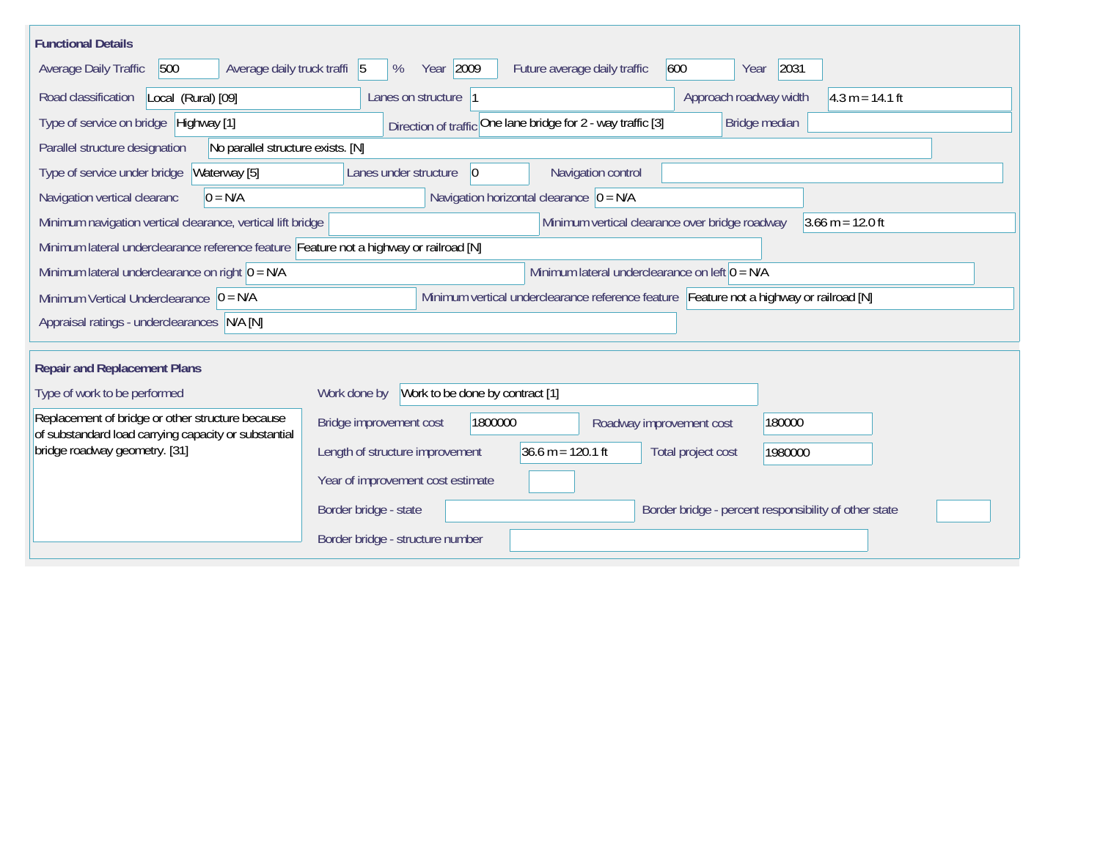| <b>Functional Details</b>                                                                                                              |                                                                                         |  |  |  |  |  |  |  |
|----------------------------------------------------------------------------------------------------------------------------------------|-----------------------------------------------------------------------------------------|--|--|--|--|--|--|--|
| 500<br>Average daily truck traffi 5<br>Average Daily Traffic                                                                           | Year 2009<br>600<br>2031<br>%<br>Future average daily traffic<br>Year                   |  |  |  |  |  |  |  |
| Road classification<br>Local (Rural) [09]                                                                                              | Lanes on structure 1<br>Approach roadway width<br>$4.3 m = 14.1 ft$                     |  |  |  |  |  |  |  |
| Type of service on bridge Highway [1]                                                                                                  | Direction of traffic One lane bridge for 2 - way traffic [3]<br>Bridge median           |  |  |  |  |  |  |  |
| No parallel structure exists. [N]<br>Parallel structure designation                                                                    |                                                                                         |  |  |  |  |  |  |  |
| Waterway [5]<br>Type of service under bridge                                                                                           | Navigation control<br>Lanes under structure<br> 0                                       |  |  |  |  |  |  |  |
| $0 = N/A$<br>Navigation vertical clearanc                                                                                              | Navigation horizontal clearance $ 0 = N/A $                                             |  |  |  |  |  |  |  |
| Minimum navigation vertical clearance, vertical lift bridge                                                                            | Minimum vertical clearance over bridge roadway<br>$3.66 \text{ m} = 12.0 \text{ ft}$    |  |  |  |  |  |  |  |
| Minimum lateral underclearance reference feature Feature not a highway or railroad [N]                                                 |                                                                                         |  |  |  |  |  |  |  |
| Minimum lateral underclearance on left $0 = N/A$<br>Minimum lateral underclearance on right $0 = N/A$                                  |                                                                                         |  |  |  |  |  |  |  |
| Minimum vertical underclearance reference feature Feature not a highway or railroad [N]<br>Minimum Vertical Underclearance $ 0 = N/A $ |                                                                                         |  |  |  |  |  |  |  |
| Appraisal ratings - underclearances N/A [N]                                                                                            |                                                                                         |  |  |  |  |  |  |  |
| <b>Repair and Replacement Plans</b>                                                                                                    |                                                                                         |  |  |  |  |  |  |  |
|                                                                                                                                        |                                                                                         |  |  |  |  |  |  |  |
| Type of work to be performed                                                                                                           | Work to be done by contract [1]<br>Work done by                                         |  |  |  |  |  |  |  |
| Replacement of bridge or other structure because<br>of substandard load carrying capacity or substantial                               | Bridge improvement cost<br>1800000<br>180000<br>Roadway improvement cost                |  |  |  |  |  |  |  |
| bridge roadway geometry. [31]                                                                                                          | Length of structure improvement<br>$36.6 m = 120.1 ft$<br>Total project cost<br>1980000 |  |  |  |  |  |  |  |
|                                                                                                                                        | Year of improvement cost estimate                                                       |  |  |  |  |  |  |  |
|                                                                                                                                        | Border bridge - state<br>Border bridge - percent responsibility of other state          |  |  |  |  |  |  |  |
|                                                                                                                                        | Border bridge - structure number                                                        |  |  |  |  |  |  |  |